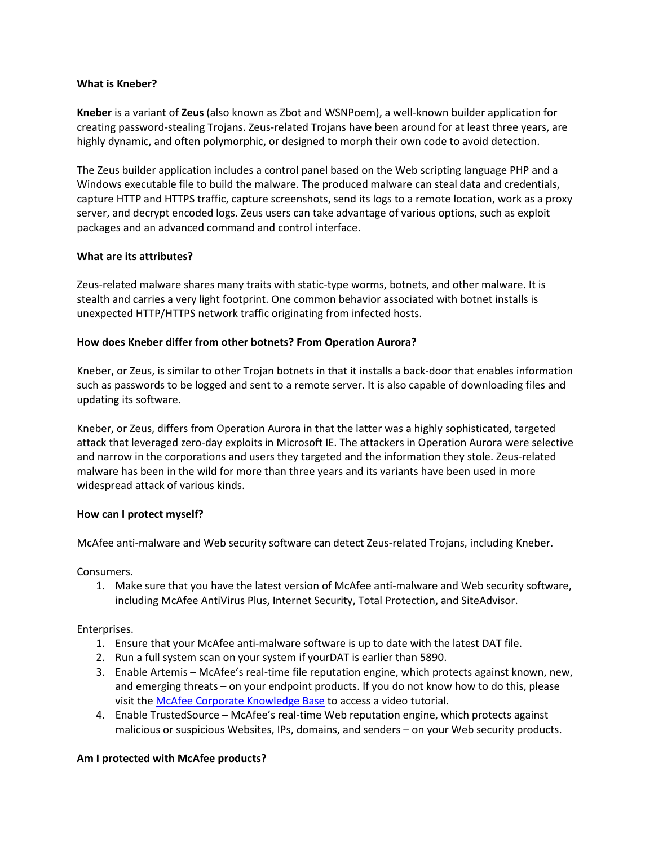#### **What is Kneber?**

**Kneber** is a variant of **Zeus** (also known as Zbot and WSNPoem), a well-known builder application for creating password-stealing Trojans. Zeus-related Trojans have been around for at least three years, are highly dynamic, and often polymorphic, or designed to morph their own code to avoid detection.

The Zeus builder application includes a control panel based on the Web scripting language PHP and a Windows executable file to build the malware. The produced malware can steal data and credentials, capture HTTP and HTTPS traffic, capture screenshots, send its logs to a remote location, work as a proxy server, and decrypt encoded logs. Zeus users can take advantage of various options, such as exploit packages and an advanced command and control interface.

### **What are its attributes?**

Zeus-related malware shares many traits with static-type worms, botnets, and other malware. It is stealth and carries a very light footprint. One common behavior associated with botnet installs is unexpected HTTP/HTTPS network traffic originating from infected hosts.

### **How does Kneber differ from other botnets? From Operation Aurora?**

Kneber, or Zeus, is similar to other Trojan botnets in that it installs a back-door that enables information such as passwords to be logged and sent to a remote server. It is also capable of downloading files and updating its software.

Kneber, or Zeus, differs from Operation Aurora in that the latter was a highly sophisticated, targeted attack that leveraged zero-day exploits in Microsoft IE. The attackers in Operation Aurora were selective and narrow in the corporations and users they targeted and the information they stole. Zeus-related malware has been in the wild for more than three years and its variants have been used in more widespread attack of various kinds.

### **How can I protect myself?**

McAfee anti-malware and Web security software can detect Zeus-related Trojans, including Kneber.

Consumers.

1. Make sure that you have the latest version of McAfee anti-malware and Web security software, including McAfee AntiVirus Plus, Internet Security, Total Protection, and SiteAdvisor.

### Enterprises.

- 1. Ensure that your McAfee anti-malware software is up to date with the latest DAT file.
- 2. Run a full system scan on your system if yourDAT is earlier than 5890.
- 3. Enable Artemis McAfee's real-time file reputation engine, which protects against known, new, and emerging threats – on your endpoint products. If you do not know how to do this, please visit the [McAfee Corporate Knowledge Base](https://kc.mcafee.com/corporate/index?page=content&id=kb53732) to access a video tutorial.
- 4. Enable TrustedSource McAfee's real-time Web reputation engine, which protects against malicious or suspicious Websites, IPs, domains, and senders – on your Web security products.

### **Am I protected with McAfee products?**